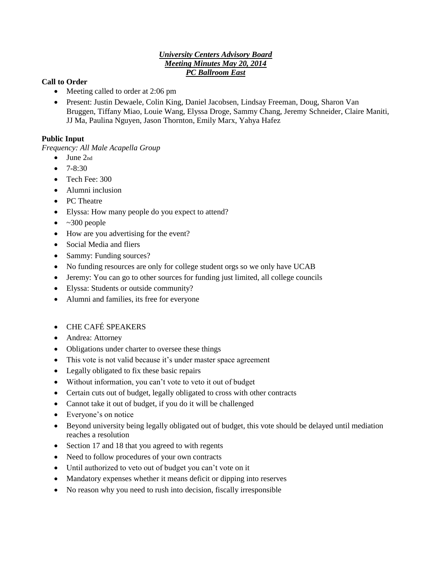## *University Centers Advisory Board Meeting Minutes May 20, 2014 PC Ballroom East*

## **Call to Order**

- Meeting called to order at 2:06 pm
- Present: Justin Dewaele, Colin King, Daniel Jacobsen, Lindsay Freeman, Doug, Sharon Van Bruggen, Tiffany Miao, Louie Wang, Elyssa Droge, Sammy Chang, Jeremy Schneider, Claire Maniti, JJ Ma, Paulina Nguyen, Jason Thornton, Emily Marx, Yahya Hafez

## **Public Input**

*Frequency: All Male Acapella Group* 

- $\bullet$  June  $2<sub>nd</sub>$
- $-7 8 \cdot 30$
- Tech Fee: 300
- Alumni inclusion
- PC Theatre
- Elyssa: How many people do you expect to attend?
- $\bullet$  ~300 people
- How are you advertising for the event?
- Social Media and fliers
- Sammy: Funding sources?
- No funding resources are only for college student orgs so we only have UCAB
- Jeremy: You can go to other sources for funding just limited, all college councils
- Elyssa: Students or outside community?
- Alumni and families, its free for everyone
- CHE CAFÉ SPEAKERS
- Andrea: Attorney
- Obligations under charter to oversee these things
- This vote is not valid because it's under master space agreement
- Legally obligated to fix these basic repairs
- Without information, you can't vote to veto it out of budget
- Certain cuts out of budget, legally obligated to cross with other contracts
- Cannot take it out of budget, if you do it will be challenged
- Everyone's on notice
- Beyond university being legally obligated out of budget, this vote should be delayed until mediation reaches a resolution
- Section 17 and 18 that you agreed to with regents
- Need to follow procedures of your own contracts
- Until authorized to veto out of budget you can't vote on it
- Mandatory expenses whether it means deficit or dipping into reserves
- No reason why you need to rush into decision, fiscally irresponsible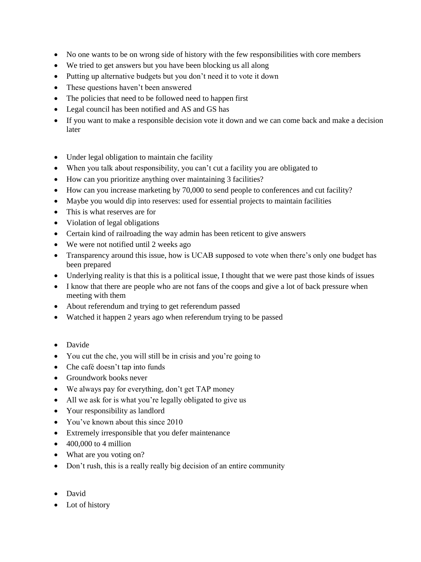- No one wants to be on wrong side of history with the few responsibilities with core members
- We tried to get answers but you have been blocking us all along
- Putting up alternative budgets but you don't need it to vote it down
- These questions haven't been answered
- The policies that need to be followed need to happen first
- Legal council has been notified and AS and GS has
- If you want to make a responsible decision vote it down and we can come back and make a decision later
- Under legal obligation to maintain che facility
- When you talk about responsibility, you can't cut a facility you are obligated to
- How can you prioritize anything over maintaining 3 facilities?
- How can you increase marketing by 70,000 to send people to conferences and cut facility?
- Maybe you would dip into reserves: used for essential projects to maintain facilities
- This is what reserves are for
- Violation of legal obligations
- Certain kind of railroading the way admin has been reticent to give answers
- We were not notified until 2 weeks ago
- Transparency around this issue, how is UCAB supposed to vote when there's only one budget has been prepared
- Underlying reality is that this is a political issue, I thought that we were past those kinds of issues
- I know that there are people who are not fans of the coops and give a lot of back pressure when meeting with them
- About referendum and trying to get referendum passed
- Watched it happen 2 years ago when referendum trying to be passed
- Davide
- You cut the che, you will still be in crisis and you're going to
- Che café doesn't tap into funds
- Groundwork books never
- We always pay for everything, don't get TAP money
- All we ask for is what you're legally obligated to give us
- Your responsibility as landlord
- You've known about this since 2010
- Extremely irresponsible that you defer maintenance
- $\bullet$  400,000 to 4 million
- What are you voting on?
- Don't rush, this is a really really big decision of an entire community
- David
- Lot of history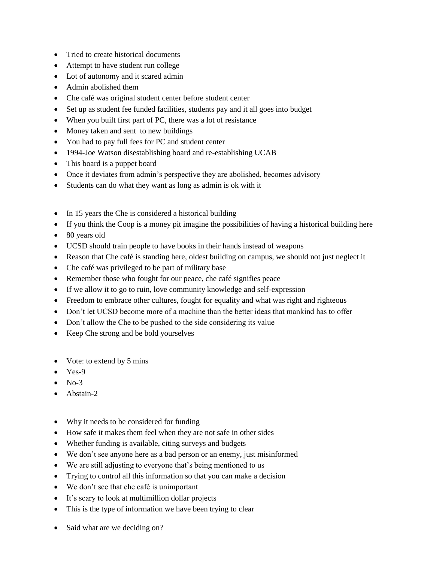- Tried to create historical documents
- Attempt to have student run college
- Lot of autonomy and it scared admin
- Admin abolished them
- Che café was original student center before student center
- Set up as student fee funded facilities, students pay and it all goes into budget
- When you built first part of PC, there was a lot of resistance
- Money taken and sent to new buildings
- You had to pay full fees for PC and student center
- 1994-Joe Watson disestablishing board and re-establishing UCAB
- This board is a puppet board
- Once it deviates from admin's perspective they are abolished, becomes advisory
- Students can do what they want as long as admin is ok with it
- In 15 years the Che is considered a historical building
- If you think the Coop is a money pit imagine the possibilities of having a historical building here
- 80 years old
- UCSD should train people to have books in their hands instead of weapons
- Reason that Che café is standing here, oldest building on campus, we should not just neglect it
- Che café was privileged to be part of military base
- Remember those who fought for our peace, che café signifies peace
- If we allow it to go to ruin, love community knowledge and self-expression
- Freedom to embrace other cultures, fought for equality and what was right and righteous
- Don't let UCSD become more of a machine than the better ideas that mankind has to offer
- Don't allow the Che to be pushed to the side considering its value
- Keep Che strong and be bold yourselves
- Vote: to extend by 5 mins
- $\bullet$  Yes-9
- $\bullet$  No-3
- Abstain-2
- Why it needs to be considered for funding
- How safe it makes them feel when they are not safe in other sides
- Whether funding is available, citing surveys and budgets
- We don't see anyone here as a bad person or an enemy, just misinformed
- We are still adjusting to everyone that's being mentioned to us
- Trying to control all this information so that you can make a decision
- We don't see that che café is unimportant
- It's scary to look at multimillion dollar projects
- This is the type of information we have been trying to clear
- Said what are we deciding on?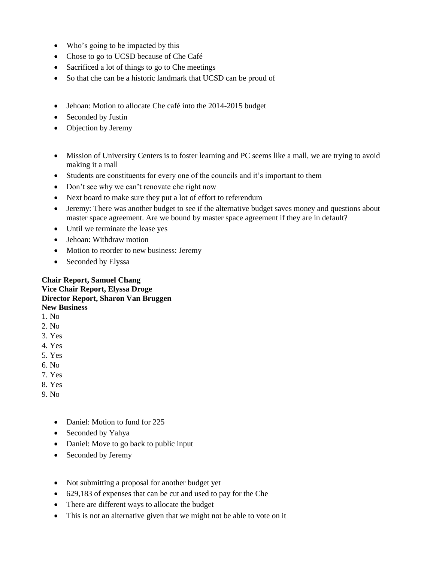- Who's going to be impacted by this
- Chose to go to UCSD because of Che Café
- Sacrificed a lot of things to go to Che meetings
- So that che can be a historic landmark that UCSD can be proud of
- Jehoan: Motion to allocate Che café into the 2014-2015 budget
- Seconded by Justin
- Objection by Jeremy
- Mission of University Centers is to foster learning and PC seems like a mall, we are trying to avoid making it a mall
- Students are constituents for every one of the councils and it's important to them
- Don't see why we can't renovate che right now
- Next board to make sure they put a lot of effort to referendum
- Jeremy: There was another budget to see if the alternative budget saves money and questions about master space agreement. Are we bound by master space agreement if they are in default?
- Until we terminate the lease yes
- Jehoan: Withdraw motion
- Motion to reorder to new business: Jeremy
- Seconded by Elyssa

## **Chair Report, Samuel Chang Vice Chair Report, Elyssa Droge Director Report, Sharon Van Bruggen New Business**

- 1. No
- 2. No
- 3. Yes
- 4. Yes
- 5. Yes
- 6. No
- 7. Yes
- 8. Yes
- 9. No
	- Daniel: Motion to fund for 225
	- Seconded by Yahya
	- Daniel: Move to go back to public input
	- Seconded by Jeremy
	- Not submitting a proposal for another budget yet
	- 629,183 of expenses that can be cut and used to pay for the Che
	- There are different ways to allocate the budget
	- This is not an alternative given that we might not be able to vote on it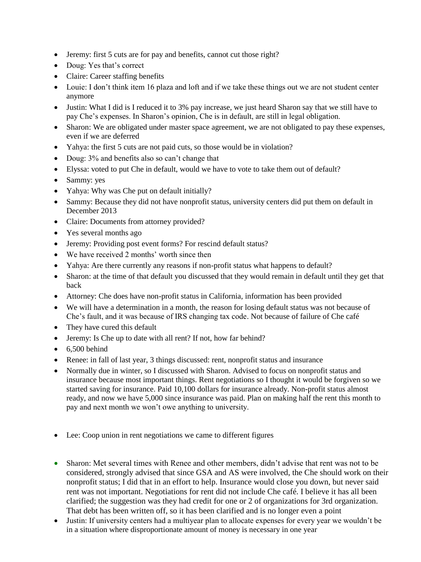- Jeremy: first 5 cuts are for pay and benefits, cannot cut those right?
- Doug: Yes that's correct
- Claire: Career staffing benefits
- Louie: I don't think item 16 plaza and loft and if we take these things out we are not student center anymore
- Justin: What I did is I reduced it to 3% pay increase, we just heard Sharon say that we still have to pay Che's expenses. In Sharon's opinion, Che is in default, are still in legal obligation.
- Sharon: We are obligated under master space agreement, we are not obligated to pay these expenses, even if we are deferred
- Yahya: the first 5 cuts are not paid cuts, so those would be in violation?
- Doug:  $3\%$  and benefits also so can't change that
- Elyssa: voted to put Che in default, would we have to vote to take them out of default?
- Sammy: yes
- Yahya: Why was Che put on default initially?
- Sammy: Because they did not have nonprofit status, university centers did put them on default in December 2013
- Claire: Documents from attorney provided?
- Yes several months ago
- Jeremy: Providing post event forms? For rescind default status?
- We have received 2 months' worth since then
- Yahya: Are there currently any reasons if non-profit status what happens to default?
- Sharon: at the time of that default you discussed that they would remain in default until they get that back
- Attorney: Che does have non-profit status in California, information has been provided
- We will have a determination in a month, the reason for losing default status was not because of Che's fault, and it was because of IRS changing tax code. Not because of failure of Che café
- They have cured this default
- Jeremy: Is Che up to date with all rent? If not, how far behind?
- $\bullet$  6,500 behind
- Renee: in fall of last year, 3 things discussed: rent, nonprofit status and insurance
- Normally due in winter, so I discussed with Sharon. Advised to focus on nonprofit status and insurance because most important things. Rent negotiations so I thought it would be forgiven so we started saving for insurance. Paid 10,100 dollars for insurance already. Non-profit status almost ready, and now we have 5,000 since insurance was paid. Plan on making half the rent this month to pay and next month we won't owe anything to university.
- Lee: Coop union in rent negotiations we came to different figures
- Sharon: Met several times with Renee and other members, didn't advise that rent was not to be considered, strongly advised that since GSA and AS were involved, the Che should work on their nonprofit status; I did that in an effort to help. Insurance would close you down, but never said rent was not important. Negotiations for rent did not include Che café. I believe it has all been clarified; the suggestion was they had credit for one or 2 of organizations for 3rd organization. That debt has been written off, so it has been clarified and is no longer even a point
- Justin: If university centers had a multiyear plan to allocate expenses for every year we wouldn't be in a situation where disproportionate amount of money is necessary in one year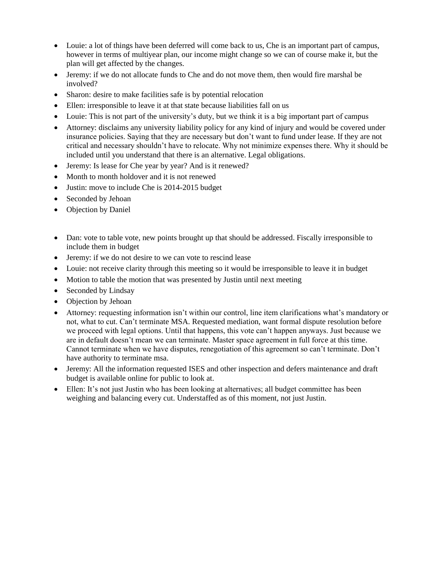- Louie: a lot of things have been deferred will come back to us, Che is an important part of campus, however in terms of multiyear plan, our income might change so we can of course make it, but the plan will get affected by the changes.
- Jeremy: if we do not allocate funds to Che and do not move them, then would fire marshal be involved?
- Sharon: desire to make facilities safe is by potential relocation
- Ellen: irresponsible to leave it at that state because liabilities fall on us
- Louie: This is not part of the university's duty, but we think it is a big important part of campus
- Attorney: disclaims any university liability policy for any kind of injury and would be covered under insurance policies. Saying that they are necessary but don't want to fund under lease. If they are not critical and necessary shouldn't have to relocate. Why not minimize expenses there. Why it should be included until you understand that there is an alternative. Legal obligations.
- Jeremy: Is lease for Che year by year? And is it renewed?
- Month to month holdover and it is not renewed
- Justin: move to include Che is 2014-2015 budget
- Seconded by Jehoan
- Objection by Daniel
- Dan: vote to table vote, new points brought up that should be addressed. Fiscally irresponsible to include them in budget
- Jeremy: if we do not desire to we can vote to rescind lease
- Louie: not receive clarity through this meeting so it would be irresponsible to leave it in budget
- Motion to table the motion that was presented by Justin until next meeting
- Seconded by Lindsay
- Objection by Jehoan
- Attorney: requesting information isn't within our control, line item clarifications what's mandatory or not, what to cut. Can't terminate MSA. Requested mediation, want formal dispute resolution before we proceed with legal options. Until that happens, this vote can't happen anyways. Just because we are in default doesn't mean we can terminate. Master space agreement in full force at this time. Cannot terminate when we have disputes, renegotiation of this agreement so can't terminate. Don't have authority to terminate msa.
- Jeremy: All the information requested ISES and other inspection and defers maintenance and draft budget is available online for public to look at.
- Ellen: It's not just Justin who has been looking at alternatives; all budget committee has been weighing and balancing every cut. Understaffed as of this moment, not just Justin.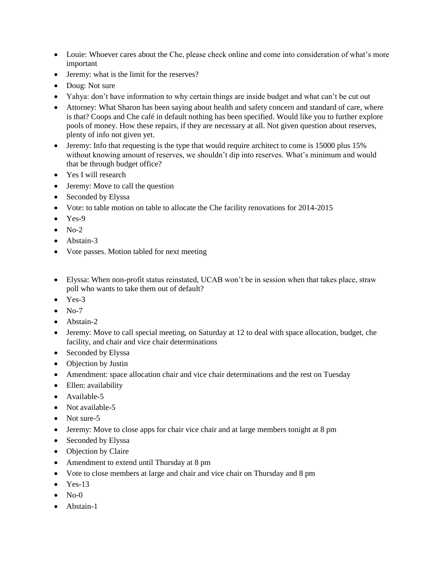- Louie: Whoever cares about the Che, please check online and come into consideration of what's more important
- Jeremy: what is the limit for the reserves?
- Doug: Not sure
- Yahya: don't have information to why certain things are inside budget and what can't be cut out
- Attorney: What Sharon has been saying about health and safety concern and standard of care, where is that? Coops and Che café in default nothing has been specified. Would like you to further explore pools of money. How these repairs, if they are necessary at all. Not given question about reserves, plenty of info not given yet.
- Jeremy: Info that requesting is the type that would require architect to come is 15000 plus 15% without knowing amount of reserves, we shouldn't dip into reserves. What's minimum and would that be through budget office?
- Yes I will research
- Jeremy: Move to call the question
- Seconded by Elyssa
- Vote: to table motion on table to allocate the Che facility renovations for 2014-2015
- $\bullet$  Yes-9
- $\bullet$  No-2
- Abstain-3
- Vote passes. Motion tabled for next meeting
- Elyssa: When non-profit status reinstated, UCAB won't be in session when that takes place, straw poll who wants to take them out of default?
- Yes-3
- $\bullet$  No-7
- Abstain-2
- Jeremy: Move to call special meeting, on Saturday at 12 to deal with space allocation, budget, che facility, and chair and vice chair determinations
- Seconded by Elyssa
- Objection by Justin
- Amendment: space allocation chair and vice chair determinations and the rest on Tuesday
- Ellen: availability
- Available-5
- Not available-5
- Not sure-5
- Jeremy: Move to close apps for chair vice chair and at large members tonight at 8 pm
- Seconded by Elyssa
- Objection by Claire
- Amendment to extend until Thursday at 8 pm
- Vote to close members at large and chair and vice chair on Thursday and 8 pm
- $\bullet$  Yes-13
- $No-0$
- Abstain-1